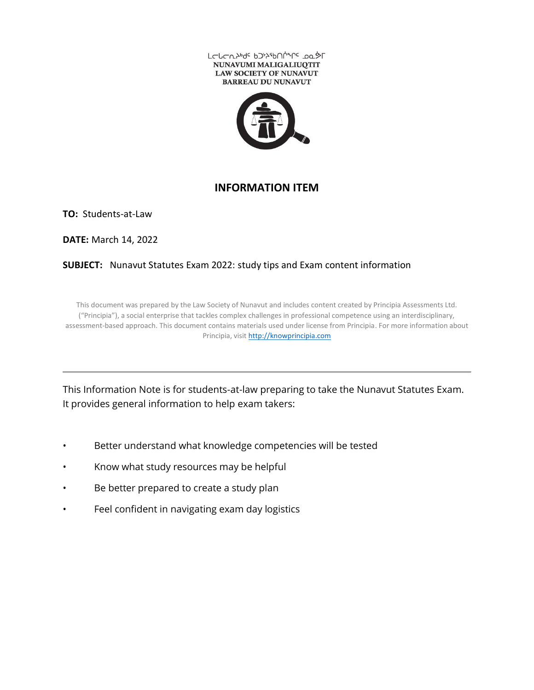



#### **INFORMATION ITEM**

**TO:** Students-at-Law

**DATE:** March 14, 2022

#### **SUBJECT:** Nunavut Statutes Exam 2022: study tips and Exam content information

This document was prepared by the Law Society of Nunavut and includes content created by Principia Assessments Ltd. ("Principia"), a social enterprise that tackles complex challenges in professional competence using an interdisciplinary, assessment-based approach. This document contains materials used under license from Principia. For more information about Principia, visit [http://knowprincipia.com](http://knowprincipia.com/)

This Information Note is for students-at-law preparing to take the Nunavut Statutes Exam. It provides general information to help exam takers:

- Better understand what knowledge competencies will be tested
- Know what study resources may be helpful
- Be better prepared to create a study plan
- Feel confident in navigating exam day logistics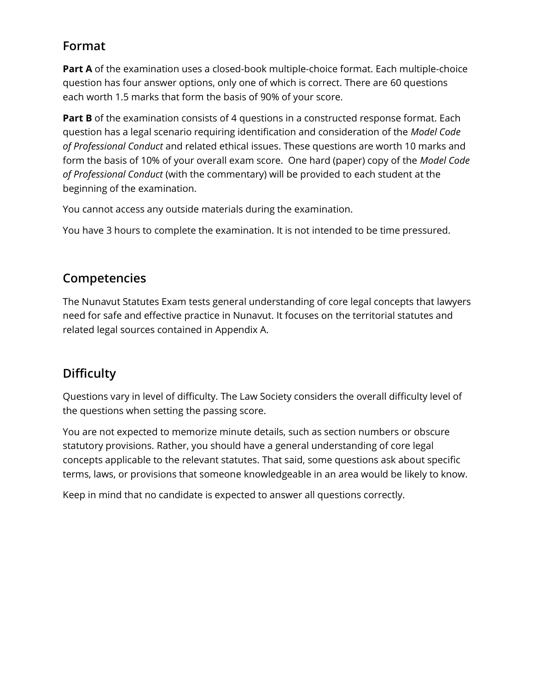## **Format**

**Part A** of the examination uses a closed-book multiple-choice format. Each multiple-choice question has four answer options, only one of which is correct. There are 60 questions each worth 1.5 marks that form the basis of 90% of your score.

**Part B** of the examination consists of 4 questions in a constructed response format. Each question has a legal scenario requiring identification and consideration of the *Model Code of Professional Conduct* and related ethical issues. These questions are worth 10 marks and form the basis of 10% of your overall exam score. One hard (paper) copy of the *Model Code of Professional Conduct* (with the commentary) will be provided to each student at the beginning of the examination.

You cannot access any outside materials during the examination.

You have 3 hours to complete the examination. It is not intended to be time pressured.

### **Competencies**

The Nunavut Statutes Exam tests general understanding of core legal concepts that lawyers need for safe and effective practice in Nunavut. It focuses on the territorial statutes and related legal sources contained in Appendix A.

# **Difficulty**

Questions vary in level of difficulty. The Law Society considers the overall difficulty level of the questions when setting the passing score.

You are not expected to memorize minute details, such as section numbers or obscure statutory provisions. Rather, you should have a general understanding of core legal concepts applicable to the relevant statutes. That said, some questions ask about specific terms, laws, or provisions that someone knowledgeable in an area would be likely to know.

Keep in mind that no candidate is expected to answer all questions correctly.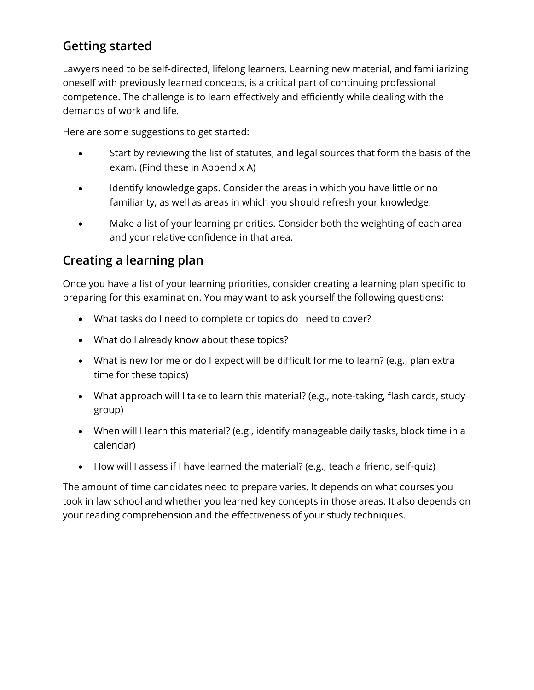# **Getting started**

Lawyers need to be self-directed, lifelong learners. Learning new material, and familiarizing oneself with previously learned concepts, is a critical part of continuing professional competence. The challenge is to learn effectively and efficiently while dealing with the demands of work and life.

Here are some suggestions to get started:

- Start by reviewing the list of statutes, and legal sources that form the basis of the exam. (Find these in Appendix A)
- Identify knowledge gaps. Consider the areas in which you have little or no familiarity, as well as areas in which you should refresh your knowledge.
- Make a list of your learning priorities. Consider both the weighting of each area and your relative confidence in that area.

### **Creating a learning plan**

Once you have a list of your learning priorities, consider creating a learning plan specific to preparing for this examination. You may want to ask yourself the following questions:

- What tasks do I need to complete or topics do I need to cover?
- What do I already know about these topics?
- What is new for me or do I expect will be difficult for me to learn? (e.g., plan extra time for these topics)
- What approach will I take to learn this material? (e.g., note-taking, flash cards, study group)
- When will I learn this material? (e.g., identify manageable daily tasks, block time in a calendar)
- How will I assess if I have learned the material? (e.g., teach a friend, self-quiz)

The amount of time candidates need to prepare varies. It depends on what courses you took in law school and whether you learned key concepts in those areas. It also depends on your reading comprehension and the effectiveness of your study techniques.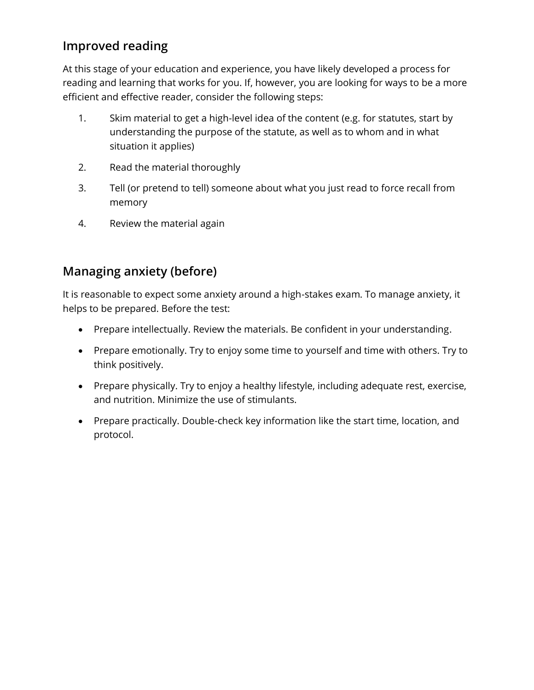## **Improved reading**

At this stage of your education and experience, you have likely developed a process for reading and learning that works for you. If, however, you are looking for ways to be a more efficient and effective reader, consider the following steps:

- 1. Skim material to get a high-level idea of the content (e.g. for statutes, start by understanding the purpose of the statute, as well as to whom and in what situation it applies)
- 2. Read the material thoroughly
- 3. Tell (or pretend to tell) someone about what you just read to force recall from memory
- 4. Review the material again

## **Managing anxiety (before)**

It is reasonable to expect some anxiety around a high-stakes exam. To manage anxiety, it helps to be prepared. Before the test:

- Prepare intellectually. Review the materials. Be confident in your understanding.
- Prepare emotionally. Try to enjoy some time to yourself and time with others. Try to think positively.
- Prepare physically. Try to enjoy a healthy lifestyle, including adequate rest, exercise, and nutrition. Minimize the use of stimulants.
- Prepare practically. Double-check key information like the start time, location, and protocol.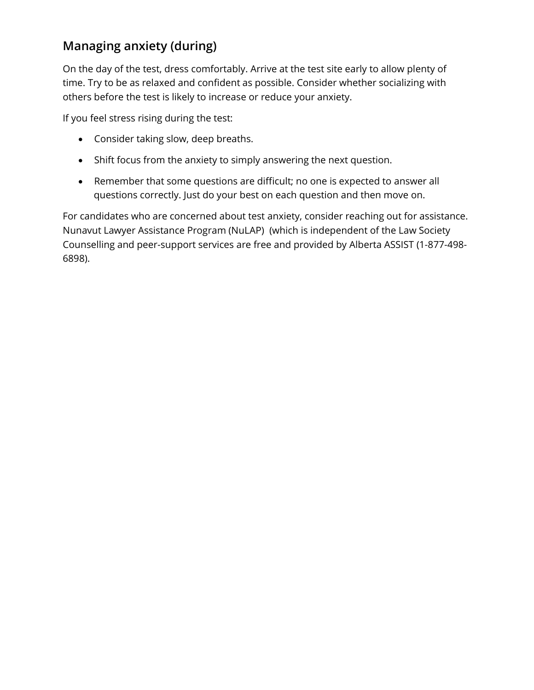# **Managing anxiety (during)**

On the day of the test, dress comfortably. Arrive at the test site early to allow plenty of time. Try to be as relaxed and confident as possible. Consider whether socializing with others before the test is likely to increase or reduce your anxiety.

If you feel stress rising during the test:

- Consider taking slow, deep breaths.
- Shift focus from the anxiety to simply answering the next question.
- Remember that some questions are difficult; no one is expected to answer all questions correctly. Just do your best on each question and then move on.

For candidates who are concerned about test anxiety, consider reaching out for assistance. Nunavut Lawyer Assistance Program (NuLAP) (which is independent of the Law Society Counselling and peer-support services are free and provided by [Alberta ASSIST](http://albertalawyersassist.ca/) (1-877-498- 6898).